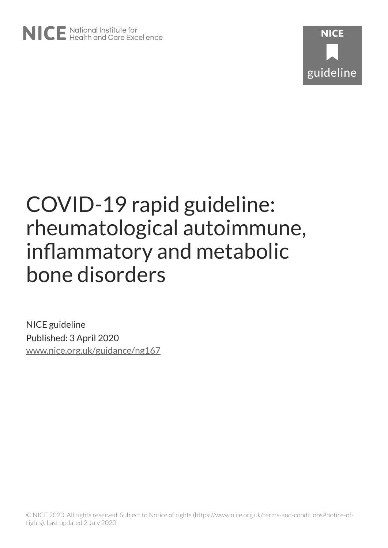NICE guideline Published: 3 April 2020 [www.nice.org.uk/guidance/ng167](https://www.nice.org.uk/guidance/ng167)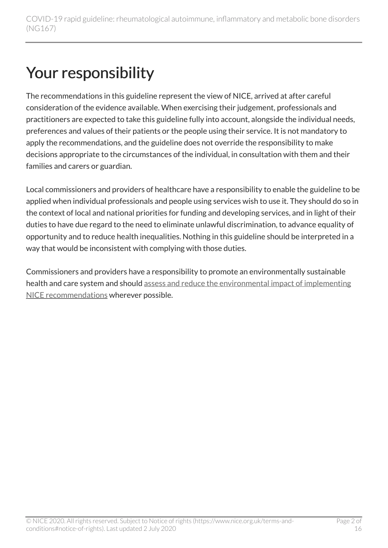## Your responsibility

The recommendations in this guideline represent the view of NICE, arrived at after careful consideration of the evidence available. When exercising their judgement, professionals and practitioners are expected to take this guideline fully into account, alongside the individual needs, preferences and values of their patients or the people using their service. It is not mandatory to apply the recommendations, and the guideline does not override the responsibility to make decisions appropriate to the circumstances of the individual, in consultation with them and their families and carers or guardian.

Local commissioners and providers of healthcare have a responsibility to enable the guideline to be applied when individual professionals and people using services wish to use it. They should do so in the context of local and national priorities for funding and developing services, and in light of their duties to have due regard to the need to eliminate unlawful discrimination, to advance equality of opportunity and to reduce health inequalities. Nothing in this guideline should be interpreted in a way that would be inconsistent with complying with those duties.

Commissioners and providers have a responsibility to promote an environmentally sustainable health and care system and should [assess and reduce the environmental impact of implementing](https://www.nice.org.uk/about/who-we-are/sustainability)  [NICE recommendations](https://www.nice.org.uk/about/who-we-are/sustainability) wherever possible.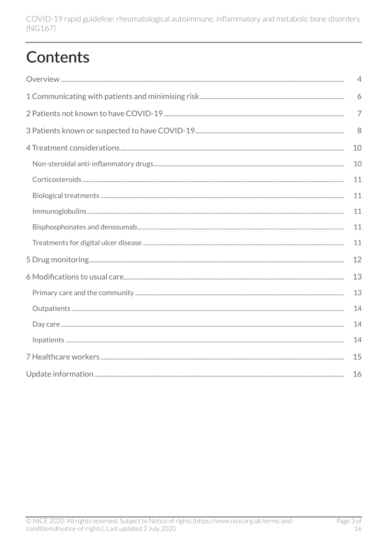## **Contents**

| $\overline{4}$ |
|----------------|
| 6              |
| $\overline{7}$ |
| 8              |
| 10             |
| 10             |
| 11             |
| 11             |
| 11             |
| 11             |
| 11             |
| 12             |
| 13             |
| 13             |
| 14             |
| 14             |
| 14             |
| 15             |
| 16             |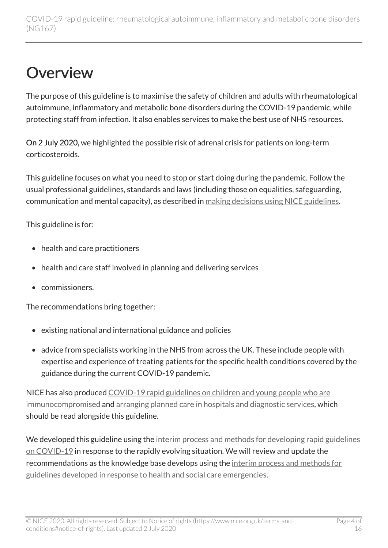### <span id="page-3-0"></span>**Overview**

The purpose of this guideline is to maximise the safety of children and adults with rheumatological autoimmune, inflammatory and metabolic bone disorders during the COVID-19 pandemic, while protecting staff from infection. It also enables services to make the best use of NHS resources.

On 2 July 2020, we highlighted the possible risk of adrenal crisis for patients on long-term corticosteroids.

This guideline focuses on what you need to stop or start doing during the pandemic. Follow the usual professional guidelines, standards and laws (including those on equalities, safeguarding, communication and mental capacity), as described in [making decisions using NICE guidelines](https://www.nice.org.uk/about/what-we-do/our-programmes/nice-guidance/nice-guidelines/making-decisions-using-nice-guidelines).

This guideline is for:

- health and care practitioners
- health and care staff involved in planning and delivering services
- commissioners.

The recommendations bring together:

- existing national and international guidance and policies
- advice from specialists working in the NHS from across the UK. These include people with expertise and experience of treating patients for the specific health conditions covered by the guidance during the current COVID-19 pandemic.

NICE has also produced [COVID-19 rapid guidelines on children and young people who are](https://www.nice.org.uk/guidance/ng174) [immunocompromised](https://www.nice.org.uk/guidance/ng174) and [arranging planned care in hospitals and diagnostic services](https://www.nice.org.uk/guidance/ng179), which should be read alongside this guideline.

We developed this guideline using the interim process and methods for developing rapid guidelines [on COVID-19](https://www.nice.org.uk/process/pmg35) in response to the rapidly evolving situation. We will review and update the recommendations as the knowledge base develops using the interim process and methods for [guidelines developed in response to health and social care emergencies.](https://www.nice.org.uk/process/pmg20/resources/appendix-l-interim-process-and-methods-for-guidelines-developed-in-response-to-health-and-social-care-emergencies-8779776589/chapter/1-introduction-and-overview)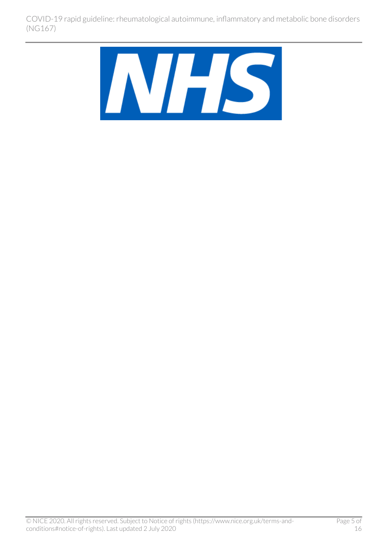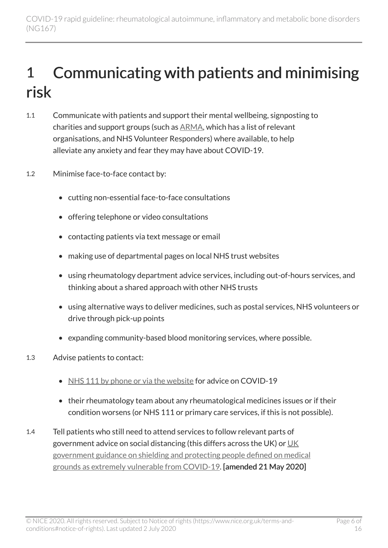### <span id="page-5-0"></span>1 Communicating with patients and minimising risk

- 1.1 Communicate with patients and support their mental wellbeing, signposting to charities and support groups (such as [ARMA](http://arma.uk.net/), which has a list of relevant organisations, and NHS Volunteer Responders) where available, to help alleviate any anxiety and fear they may have about COVID-19.
- 1.2 Minimise face-to-face contact by:
	- cutting non-essential face-to-face consultations
	- offering telephone or video consultations
	- contacting patients via text message or email
	- making use of departmental pages on local NHS trust websites
	- using rheumatology department advice services, including out-of-hours services, and thinking about a shared approach with other NHS trusts
	- using alternative ways to deliver medicines, such as postal services, NHS volunteers or drive through pick-up points
	- expanding community-based blood monitoring services, where possible.
- 1.3 Advise patients to contact:
	- [NHS 111 by phone or via the website](https://111.nhs.uk/covid-19) for advice on COVID-19
	- their rheumatology team about any rheumatological medicines issues or if their condition worsens (or NHS 111 or primary care services, if this is not possible).
- 1.4 Tell patients who still need to attend services to follow relevant parts of government advice on social distancing (this differs across the [UK](https://www.gov.uk/government/publications/guidance-on-shielding-and-protecting-extremely-vulnerable-persons-from-covid-19)) or  $\underline{UK}$ [government guidance on shielding and protecting people defined on medical](https://www.gov.uk/government/publications/guidance-on-shielding-and-protecting-extremely-vulnerable-persons-from-covid-19)  [grounds as extremely vulnerable from COVID-19](https://www.gov.uk/government/publications/guidance-on-shielding-and-protecting-extremely-vulnerable-persons-from-covid-19). [amended 21 May 2020]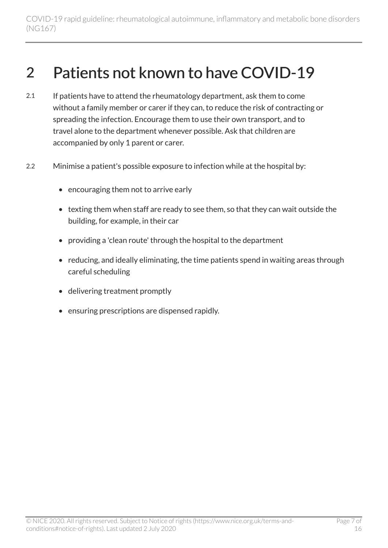### <span id="page-6-0"></span>2 Patients not known to have COVID-19

- 2.1 If patients have to attend the rheumatology department, ask them to come without a family member or carer if they can, to reduce the risk of contracting or spreading the infection. Encourage them to use their own transport, and to travel alone to the department whenever possible. Ask that children are accompanied by only 1 parent or carer.
- 2.2 Minimise a patient's possible exposure to infection while at the hospital by:
	- encouraging them not to arrive early
	- texting them when staff are ready to see them, so that they can wait outside the building, for example, in their car
	- providing a 'clean route' through the hospital to the department
	- reducing, and ideally eliminating, the time patients spend in waiting areas through careful scheduling
	- delivering treatment promptly
	- ensuring prescriptions are dispensed rapidly.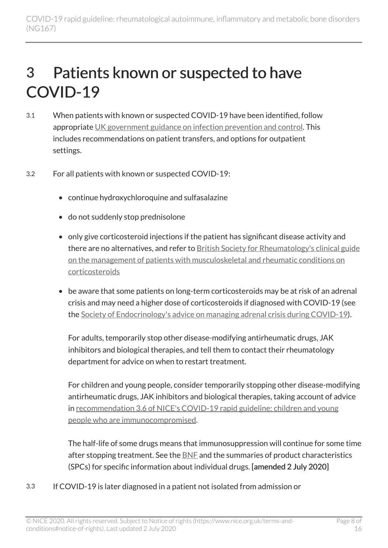### <span id="page-7-0"></span>3 Patients known or suspected to have COVID-19

- 3.1 When patients with known or suspected COVID-19 have been identified, follow appropriate [UK government guidance on infection prevention and control.](https://www.gov.uk/government/publications/wuhan-novel-coronavirus-infection-prevention-and-control) This includes recommendations on patient transfers, and options for outpatient settings.
- 3.2 For all patients with known or suspected COVID-19:
	- continue hydroxychloroquine and sulfasalazine
	- do not suddenly stop prednisolone
	- only give corticosteroid injections if the patient has significant disease activity and there are no alternatives, and refer to [British Society for Rheumatology's clinical guide](https://www.rheumatology.org.uk/Portals/0/Documents/COVID-19/MSK_rheumatology_corticosteroid_guidance.pdf) [on the management of patients with musculoskeletal and rheumatic conditions on](https://www.rheumatology.org.uk/Portals/0/Documents/COVID-19/MSK_rheumatology_corticosteroid_guidance.pdf) [corticosteroids](https://www.rheumatology.org.uk/Portals/0/Documents/COVID-19/MSK_rheumatology_corticosteroid_guidance.pdf)
	- be aware that some patients on long-term corticosteroids may be at risk of an adrenal crisis and may need a higher dose of corticosteroids if diagnosed with COVID-19 (see the [Society of Endocrinology's advice on managing adrenal crisis during COVID-19\)](https://www.endocrinology.org/clinical-practice/clinical-guidance/adrenal-crisis/covid-19-adrenal-crisis-information/).

For adults, temporarily stop other disease-modifying antirheumatic drugs, JAK inhibitors and biological therapies, and tell them to contact their rheumatology department for advice on when to restart treatment.

For children and young people, consider temporarily stopping other disease-modifying antirheumatic drugs, JAK inhibitors and biological therapies, taking account of advice in [recommendation 3.6 of NICE's COVID-19 rapid guideline: children and young](https://www.nice.org.uk/guidance/ng174/chapter/3-Managing-the-underlying-condition-patients-known-or-suspected-to-have-COVID-19) [people who are immunocompromised](https://www.nice.org.uk/guidance/ng174/chapter/3-Managing-the-underlying-condition-patients-known-or-suspected-to-have-COVID-19).

The half-life of some drugs means that immunosuppression will continue for some time after stopping treatment. See the **[BNF](https://bnf.nice.org.uk/)** and the summaries of product characteristics (SPCs) for specific information about individual drugs. [amended 2 July 2020]

3.3 If COVID-19 is later diagnosed in a patient not isolated from admission or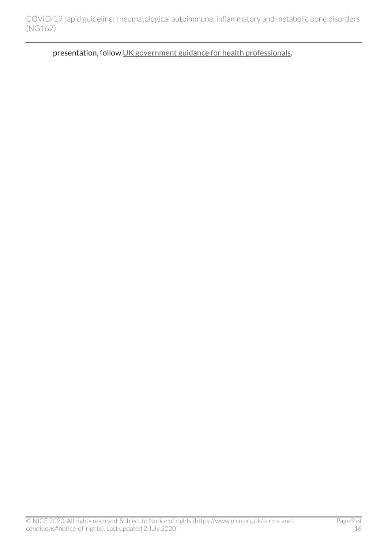presentation, follow [UK government guidance for health professionals](https://www.gov.uk/government/collections/wuhan-novel-coronavirus).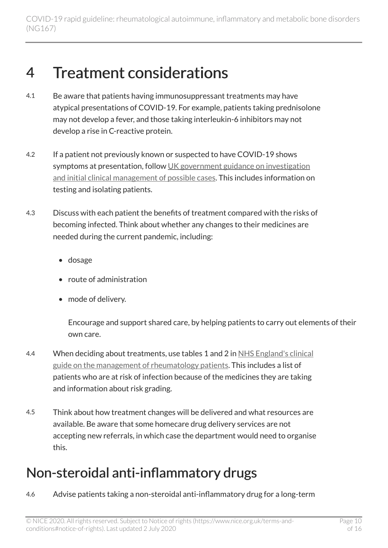#### <span id="page-9-0"></span>4 Treatment considerations

- 4.1 Be aware that patients having immunosuppressant treatments may have atypical presentations of COVID-19. For example, patients taking prednisolone may not develop a fever, and those taking interleukin-6 inhibitors may not develop a rise in C-reactive protein.
- 4.2 If a patient not previously known or suspected to have COVID-19 shows symptoms at presentation, follow UK government guidance on investigation [and initial clinical management of possible cases.](https://www.gov.uk/government/publications/wuhan-novel-coronavirus-initial-investigation-of-possible-cases/investigation-and-initial-clinical-management-of-possible-cases-of-wuhan-novel-coronavirus-wn-cov-infection) This includes information on testing and isolating patients.
- 4.3 Discuss with each patient the benefits of treatment compared with the risks of becoming infected. Think about whether any changes to their medicines are needed during the current pandemic, including:
	- dosage
	- route of administration
	- mode of delivery.

Encourage and support shared care, by helping patients to carry out elements of their own care.

- 4.4 When deciding about treatments, use tables 1 and 2 in [NHS England's clinical](https://www.nice.org.uk/covid-19/specialty-guides#medicine) [guide on the management of rheumatology patients](https://www.nice.org.uk/covid-19/specialty-guides#medicine). This includes a list of patients who are at risk of infection because of the medicines they are taking and information about risk grading.
- 4.5 Think about how treatment changes will be delivered and what resources are available. Be aware that some homecare drug delivery services are not accepting new referrals, in which case the department would need to organise this.

#### <span id="page-9-1"></span>Non-steroidal anti-inflammatory drugs

4.6 Advise patients taking a non-steroidal anti-inflammatory drug for a long-term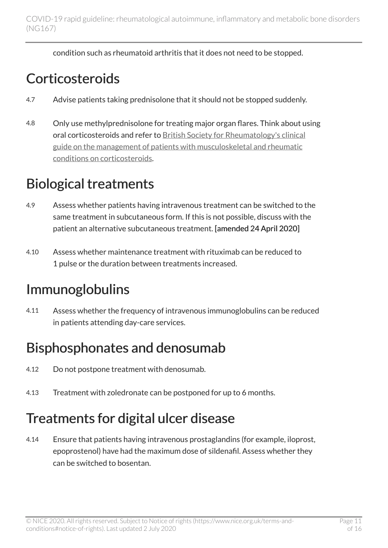condition such as rheumatoid arthritis that it does not need to be stopped.

#### <span id="page-10-0"></span>**Corticosteroids**

- 4.7 Advise patients taking prednisolone that it should not be stopped suddenly.
- 4.8 Only use methylprednisolone for treating major organ flares. Think about using oral corticosteroids and refer to [British Society for Rheumatology's clinical](https://www.rheumatology.org.uk/Portals/0/Documents/COVID-19/MSK_rheumatology_corticosteroid_guidance.pdf)  [guide on the management of patients with musculoskeletal and rheumatic](https://www.rheumatology.org.uk/Portals/0/Documents/COVID-19/MSK_rheumatology_corticosteroid_guidance.pdf) [conditions on corticosteroids](https://www.rheumatology.org.uk/Portals/0/Documents/COVID-19/MSK_rheumatology_corticosteroid_guidance.pdf).

### <span id="page-10-1"></span>Biological treatments

- 4.9 Assess whether patients having intravenous treatment can be switched to the same treatment in subcutaneous form. If this is not possible, discuss with the patient an alternative subcutaneous treatment. [amended 24 April 2020]
- 4.10 Assess whether maintenance treatment with rituximab can be reduced to 1 pulse or the duration between treatments increased.

#### <span id="page-10-2"></span>Immunoglobulins

4.11 Assess whether the frequency of intravenous immunoglobulins can be reduced in patients attending day-care services.

#### <span id="page-10-3"></span>Bisphosphonates and denosumab

- 4.12 Do not postpone treatment with denosumab.
- 4.13 Treatment with zoledronate can be postponed for up to 6 months.

#### <span id="page-10-4"></span>Treatments for digital ulcer disease

4.14 Ensure that patients having intravenous prostaglandins (for example, iloprost, epoprostenol) have had the maximum dose of sildenafil. Assess whether they can be switched to bosentan.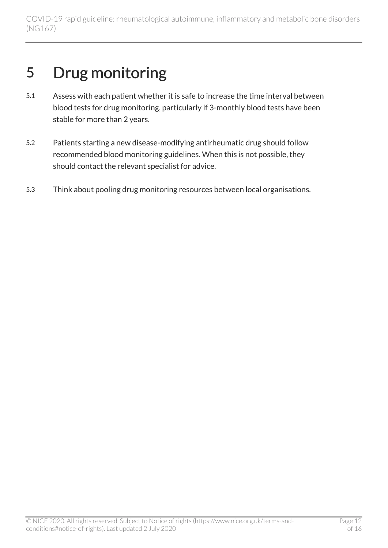### <span id="page-11-0"></span>5 Drug monitoring

- 5.1 Assess with each patient whether it is safe to increase the time interval between blood tests for drug monitoring, particularly if 3-monthly blood tests have been stable for more than 2 years.
- 5.2 Patients starting a new disease-modifying antirheumatic drug should follow recommended blood monitoring guidelines. When this is not possible, they should contact the relevant specialist for advice.
- 5.3 Think about pooling drug monitoring resources between local organisations.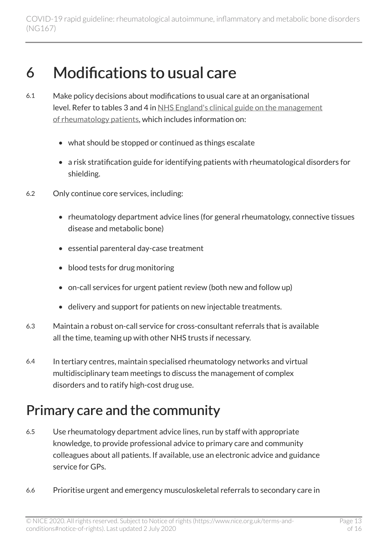#### <span id="page-12-0"></span>6 Modifications to usual care

- 6.1 Make policy decisions about modifications to usual care at an organisational level. Refer to tables 3 and 4 in [NHS England's clinical guide on the management](https://www.nice.org.uk/covid-19/specialty-guides#medicine) [of rheumatology patients](https://www.nice.org.uk/covid-19/specialty-guides#medicine), which includes information on:
	- what should be stopped or continued as things escalate
	- a risk stratification guide for identifying patients with rheumatological disorders for shielding.
- 6.2 Only continue core services, including:
	- rheumatology department advice lines (for general rheumatology, connective tissues disease and metabolic bone)
	- essential parenteral day-case treatment
	- blood tests for drug monitoring
	- on-call services for urgent patient review (both new and follow up)
	- delivery and support for patients on new injectable treatments.
- 6.3 Maintain a robust on-call service for cross-consultant referrals that is available all the time, teaming up with other NHS trusts if necessary.
- 6.4 In tertiary centres, maintain specialised rheumatology networks and virtual multidisciplinary team meetings to discuss the management of complex disorders and to ratify high-cost drug use.

#### <span id="page-12-1"></span>Primary care and the community

- 6.5 Use rheumatology department advice lines, run by staff with appropriate knowledge, to provide professional advice to primary care and community colleagues about all patients. If available, use an electronic advice and guidance service for GPs.
- 6.6 Prioritise urgent and emergency musculoskeletal referrals to secondary care in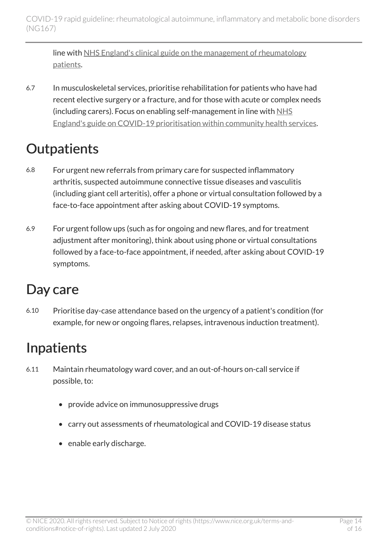line with [NHS England's clinical guide on the management of rheumatology](https://www.nice.org.uk/covid-19/specialty-guides#medicine) [patients](https://www.nice.org.uk/covid-19/specialty-guides#medicine).

6.7 In musculoskeletal services, prioritise rehabilitation for patients who have had recent elective surgery or a fracture, and for those with acute or complex needs (including carers). Focus on enabling self-management in line with [NHS](https://www.england.nhs.uk/coronavirus/publication/covid-19-prioritisation-within-community-health-services-with-annex_19-march-2020/)  [England's guide on COVID-19 prioritisation within community health services.](https://www.england.nhs.uk/coronavirus/publication/covid-19-prioritisation-within-community-health-services-with-annex_19-march-2020/)

#### <span id="page-13-0"></span>**Outpatients**

- 6.8 For urgent new referrals from primary care for suspected inflammatory arthritis, suspected autoimmune connective tissue diseases and vasculitis (including giant cell arteritis), offer a phone or virtual consultation followed by a face-to-face appointment after asking about COVID-19 symptoms.
- 6.9 For urgent follow ups (such as for ongoing and new flares, and for treatment adjustment after monitoring), think about using phone or virtual consultations followed by a face-to-face appointment, if needed, after asking about COVID-19 symptoms.

#### <span id="page-13-1"></span>Day care

6.10 Prioritise day-case attendance based on the urgency of a patient's condition (for example, for new or ongoing flares, relapses, intravenous induction treatment).

### <span id="page-13-2"></span>Inpatients

- 6.11 Maintain rheumatology ward cover, and an out-of-hours on-call service if possible, to:
	- provide advice on immunosuppressive drugs
	- carry out assessments of rheumatological and COVID-19 disease status
	- enable early discharge.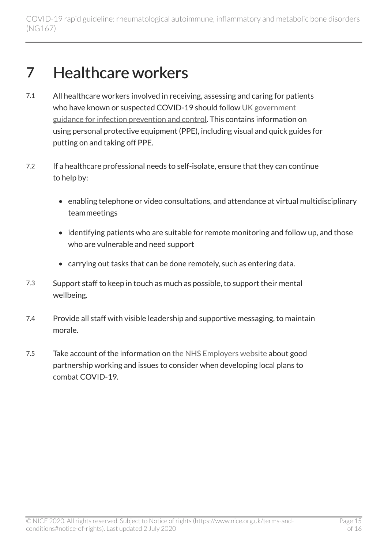### <span id="page-14-0"></span>7 Healthcare workers

- 7.1 All healthcare workers involved in receiving, assessing and caring for patients who have known or suspected COVID-19 should follow [UK government](https://www.gov.uk/government/publications/wuhan-novel-coronavirus-infection-prevention-and-control) [guidance for infection prevention and control](https://www.gov.uk/government/publications/wuhan-novel-coronavirus-infection-prevention-and-control). This contains information on using personal protective equipment (PPE), including visual and quick guides for putting on and taking off PPE.
- 7.2 If a healthcare professional needs to self-isolate, ensure that they can continue to help by:
	- enabling telephone or video consultations, and attendance at virtual multidisciplinary teammeetings
	- identifying patients who are suitable for remote monitoring and follow up, and those who are vulnerable and need support
	- carrying out tasks that can be done remotely, such as entering data.
- 7.3 Support staff to keep in touch as much as possible, to support their mental wellbeing.
- 7.4 Provide all staff with visible leadership and supportive messaging, to maintain morale.
- 7.5 Take account of the information on [the NHS Employers website](https://www.nhsemployers.org/engagement-and-networks/nhs-staff-council/joint-statements-and-papers) about good partnership working and issues to consider when developing local plans to combat COVID-19.